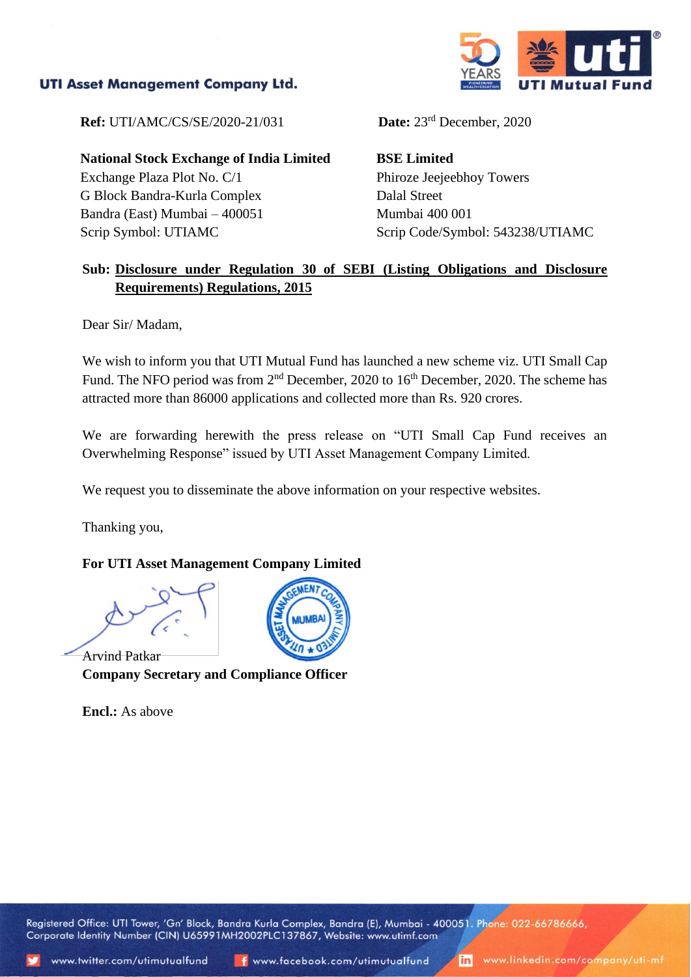## **UTI Asset Management Company Ltd.**



**Ref:** UTI/AMC/CS/SE/2020-21/031

**National Stock Exchange of India Limited** Exchange Plaza Plot No. C/1 G Block Bandra-Kurla Complex Bandra (East) Mumbai – 400051 Scrip Symbol: UTIAMC

Date:  $23<sup>rd</sup>$  December, 2020

**BSE Limited** Phiroze Jeejeebhoy Towers Dalal Street Mumbai 400 001 Scrip Code/Symbol: 543238/UTIAMC

## **Sub: Disclosure under Regulation 30 of SEBI (Listing Obligations and Disclosure Requirements) Regulations, 2015**

Dear Sir/ Madam,

We wish to inform you that UTI Mutual Fund has launched a new scheme viz. UTI Small Cap Fund. The NFO period was from 2<sup>nd</sup> December, 2020 to 16<sup>th</sup> December, 2020. The scheme has attracted more than 86000 applications and collected more than Rs. 920 crores.

We are forwarding herewith the press release on "UTI Small Cap Fund receives an Overwhelming Response" issued by UTI Asset Management Company Limited.

We request you to disseminate the above information on your respective websites.

Thanking you,

#### **For UTI Asset Management Company Limited**

Arvind Patkar **Company Secretary and Compliance Officer**

**Encl.:** As above



Registered Office: UTI Tower, 'Gn' Block, Bandra Kurla Complex, Bandra (E), Mumbai - 400051. Phone: 022-66786666, Corporate Identity Number (CIN) U65991MH2002PLC137867, Website: www.utimf.com